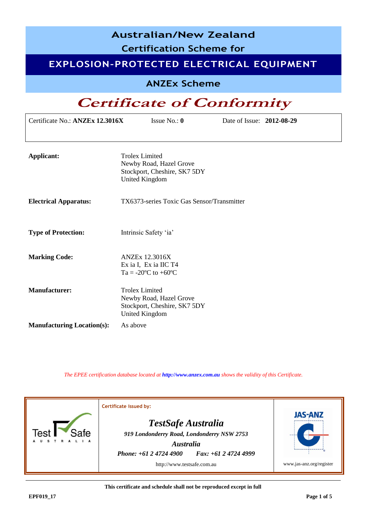| <b>Australian/New Zealand</b><br><b>Certification Scheme for</b><br>EXPLOSION-PROTECTED ELECTRICAL EQUIPMENT |                                                                                                           |                           |  |
|--------------------------------------------------------------------------------------------------------------|-----------------------------------------------------------------------------------------------------------|---------------------------|--|
| <b>ANZEx Scheme</b>                                                                                          |                                                                                                           |                           |  |
|                                                                                                              | <b>Certificate of Conformity</b>                                                                          |                           |  |
| Certificate No.: ANZEx 12.3016X                                                                              | Issue No.: $0$                                                                                            | Date of Issue: 2012-08-29 |  |
|                                                                                                              |                                                                                                           |                           |  |
| <b>Applicant:</b>                                                                                            | <b>Trolex Limited</b><br>Newby Road, Hazel Grove<br>Stockport, Cheshire, SK7 5DY<br><b>United Kingdom</b> |                           |  |
| <b>Electrical Apparatus:</b>                                                                                 | TX6373-series Toxic Gas Sensor/Transmitter                                                                |                           |  |
| <b>Type of Protection:</b>                                                                                   | Intrinsic Safety 'ia'                                                                                     |                           |  |
| <b>Marking Code:</b>                                                                                         | <b>ANZEx 12.3016X</b><br>Ex ia I, Ex ia IIC T4<br>Ta = -20 $^{\circ}$ C to +60 $^{\circ}$ C               |                           |  |
| <b>Manufacturer:</b>                                                                                         | <b>Trolex Limited</b><br>Newby Road, Hazel Grove<br>Stockport, Cheshire, SK7 5DY<br><b>United Kingdom</b> |                           |  |
| <b>Manufacturing Location(s):</b>                                                                            | As above                                                                                                  |                           |  |

*The EPEE certification database located at [http://www.anzex.com.au](http://www.anzex.com.au/) shows the validity of this Certificate.*



**This certificate and schedule shall not be reproduced except in full**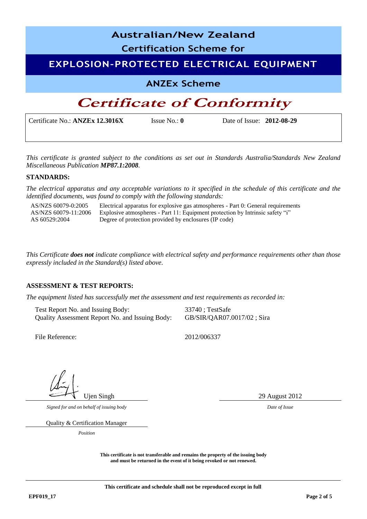| <b>Australian/New Zealand</b><br><b>Certification Scheme for</b> |               |                             |  |
|------------------------------------------------------------------|---------------|-----------------------------|--|
| <b>EXPLOSION-PROTECTED ELECTRICAL EQUIPMENT</b>                  |               |                             |  |
| <b>ANZEx Scheme</b>                                              |               |                             |  |
| <b>Certificate of Conformity</b>                                 |               |                             |  |
| Certificate No.: ANZEx 12.3016X                                  | Issue $No: 0$ | Date of Issue: $2012-08-29$ |  |

*This certificate is granted subject to the conditions as set out in Standards Australia/Standards New Zealand Miscellaneous Publication MP87.1:2008.*

#### **STANDARDS:**

*The electrical apparatus and any acceptable variations to it specified in the schedule of this certificate and the identified documents, was found to comply with the following standards:* 

AS/NZS 60079-0:2005 Electrical apparatus for explosive gas atmospheres - Part 0: General requirements AS/NZS 60079-11:2006 AS 60529:2004 Explosive atmospheres - Part 11: Equipment protection by Intrinsic safety "i" Degree of protection provided by enclosures (IP code)

*This Certificate does not indicate compliance with electrical safety and performance requirements other than those expressly included in the Standard(s) listed above.*

### **ASSESSMENT & TEST REPORTS:**

*The equipment listed has successfully met the assessment and test requirements as recorded in:* 

Test Report No. and Issuing Body: 33740; TestSafe Quality Assessment Report No. and Issuing Body: GB/SIR/QAR07.0017/02 ; Sira

File Reference: 2012/006337

Ujen Singh 29 August 2012

*Signed for and on behalf of issuing body Date of Issue*

Quality & Certification Manager

*Position*

**This certificate is not transferable and remains the property of the issuing body and must be returned in the event of it being revoked or not renewed.**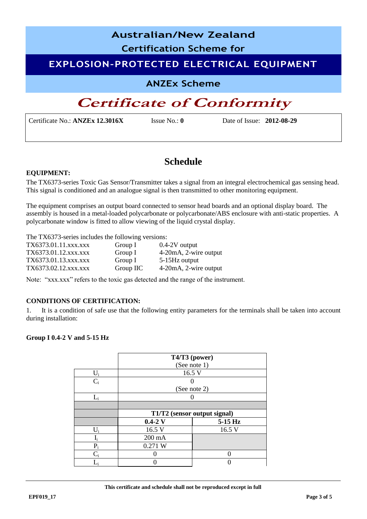## **Australian/New Zealand**

**Certification Scheme for**

### **EXPLOSION-PROTECTED ELECTRICAL EQUIPMENT**

**ANZEx Scheme**

# **Certificate of Conformity**

Certificate No.: **ANZEx 12.3016X** Issue No.: **0** Date of Issue: **2012-08-29**

## **Schedule**

### **EQUIPMENT:**

The TX6373-series Toxic Gas Sensor/Transmitter takes a signal from an integral electrochemical gas sensing head. This signal is conditioned and an analogue signal is then transmitted to other monitoring equipment.

The equipment comprises an output board connected to sensor head boards and an optional display board. The assembly is housed in a metal-loaded polycarbonate or polycarbonate/ABS enclosure with anti-static properties. A polycarbonate window is fitted to allow viewing of the liquid crystal display.

The TX6373-series includes the following versions:

| TX6373.01.11.xxx.xxx | Group I   | $0.4-2V$ output       |
|----------------------|-----------|-----------------------|
| TX6373.01.12.xxx.xxx | Group I   | 4-20mA, 2-wire output |
| TX6373.01.13.xxx.xxx | Group I   | 5-15Hz output         |
| TX6373.02.12.xxx.xxx | Group IIC | 4-20mA, 2-wire output |

Note: "xxx.xxx" refers to the toxic gas detected and the range of the instrument.

### **CONDITIONS OF CERTIFICATION:**

1. It is a condition of safe use that the following entity parameters for the terminals shall be taken into account during installation:

### **Group I 0.4-2 V and 5-15 Hz**

|       | T4/T3 (power)                |              |  |
|-------|------------------------------|--------------|--|
|       |                              | (See note 1) |  |
| $U_i$ | 16.5 V                       |              |  |
| $C_i$ |                              |              |  |
|       | (See note 2)                 |              |  |
| $L_i$ |                              |              |  |
|       |                              |              |  |
|       | T1/T2 (sensor output signal) |              |  |
|       | $0.4 - 2$ V                  | $5-15$ Hz    |  |
| $U_i$ | 16.5 V                       | 16.5 V       |  |
|       | 200 mA                       |              |  |
| $P_i$ | 0.271 W                      |              |  |
| C.    |                              |              |  |
|       |                              |              |  |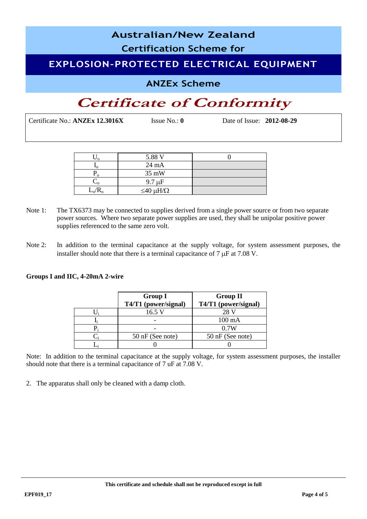## **Australian/New Zealand Certification Scheme for EXPLOSION-PROTECTED ELECTRICAL EQUIPMENT**

### **ANZEx Scheme**

# **Certificate of Conformity**

Certificate No.: **ANZEx 12.3016X** Issue No.: **0** Date of Issue: **2012-08-29**

|           | 5.88 V                 |  |
|-----------|------------------------|--|
| ∸∩        | $24 \text{ mA}$        |  |
|           | 35 mW                  |  |
|           | $9.7 \mu F$            |  |
| $L_o/R_o$ | $\leq 40 \mu H/\Omega$ |  |

- Note 1: The TX6373 may be connected to supplies derived from a single power source or from two separate power sources. Where two separate power supplies are used, they shall be unipolar positive power supplies referenced to the same zero volt.
- Note 2: In addition to the terminal capacitance at the supply voltage, for system assessment purposes, the installer should note that there is a terminal capacitance of  $7 \mu$ F at  $7.08 \text{ V}$ .

### **Groups I and IIC, 4-20mA 2-wire**

| <b>Group I</b><br>T4/T1 (power/signal) | <b>Group II</b><br>T4/T1 (power/signal) |  |
|----------------------------------------|-----------------------------------------|--|
| 16.5 V                                 | 28 V                                    |  |
|                                        | $100 \text{ mA}$                        |  |
|                                        | 0.7W                                    |  |
| 50 nF (See note)                       | 50 nF (See note)                        |  |
|                                        |                                         |  |

Note: In addition to the terminal capacitance at the supply voltage, for system assessment purposes, the installer should note that there is a terminal capacitance of 7 uF at 7.08 V.

2. The apparatus shall only be cleaned with a damp cloth.